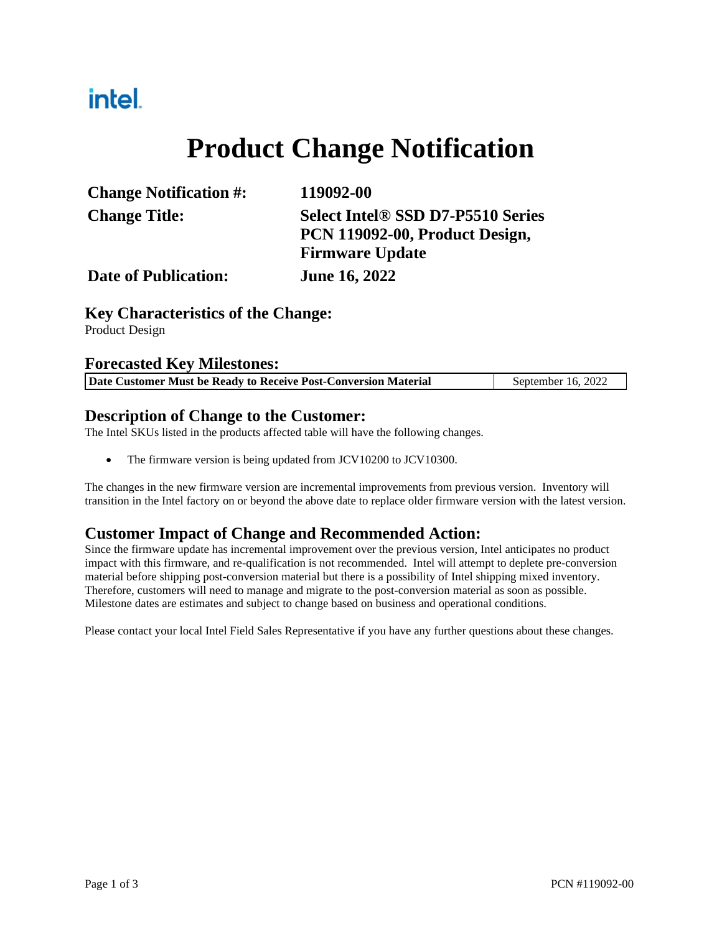## intel.

# **Product Change Notification**

| <b>Change Notification #:</b> | 119092-00                                |
|-------------------------------|------------------------------------------|
| <b>Change Title:</b>          | <b>Select Intel® SSD D7-P5510 Series</b> |
|                               | PCN 119092-00, Product Design,           |
|                               | <b>Firmware Update</b>                   |
| <b>Date of Publication:</b>   | <b>June 16, 2022</b>                     |

#### **Key Characteristics of the Change:**

Product Design

#### **Forecasted Key Milestones:**

| Date Customer Must be Ready to Receive Post-Conversion Material |  |  | September 16, 2022 |
|-----------------------------------------------------------------|--|--|--------------------|
|-----------------------------------------------------------------|--|--|--------------------|

### **Description of Change to the Customer:**

The Intel SKUs listed in the products affected table will have the following changes.

• The firmware version is being updated from JCV10200 to JCV10300.

The changes in the new firmware version are incremental improvements from previous version. Inventory will transition in the Intel factory on or beyond the above date to replace older firmware version with the latest version.

### **Customer Impact of Change and Recommended Action:**

Since the firmware update has incremental improvement over the previous version, Intel anticipates no product impact with this firmware, and re-qualification is not recommended. Intel will attempt to deplete pre-conversion material before shipping post-conversion material but there is a possibility of Intel shipping mixed inventory. Therefore, customers will need to manage and migrate to the post-conversion material as soon as possible. Milestone dates are estimates and subject to change based on business and operational conditions.

Please contact your local Intel Field Sales Representative if you have any further questions about these changes.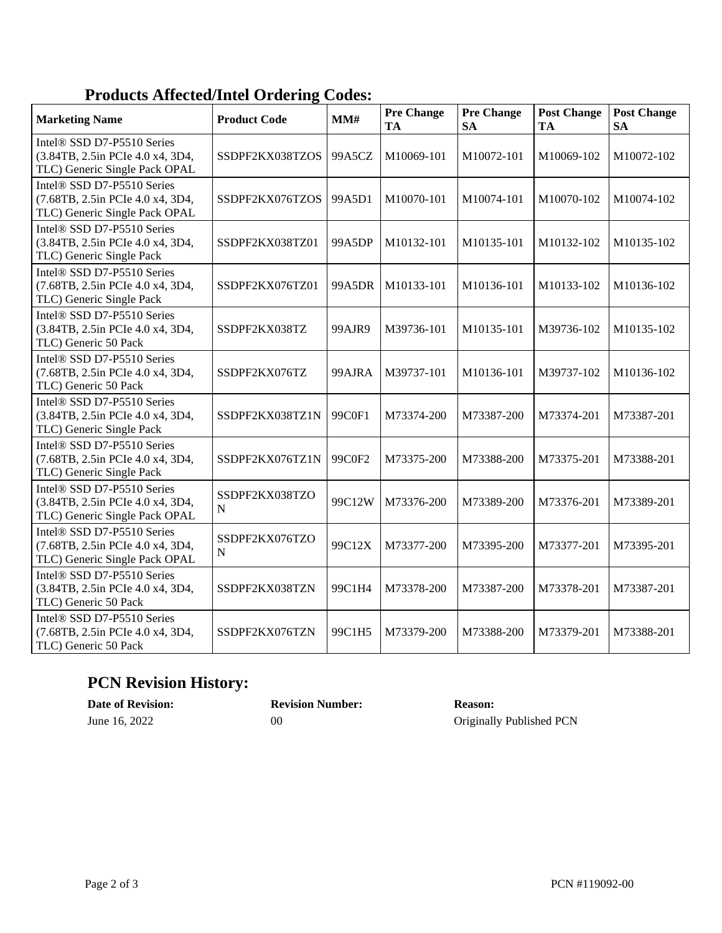## **Products Affected/Intel Ordering Codes:**

| <b>Marketing Name</b>                                                                                       | <b>Product Code</b>           | MM#    | <b>Pre Change</b><br>TA | <b>Pre Change</b><br><b>SA</b> | <b>Post Change</b><br><b>TA</b> | <b>Post Change</b><br><b>SA</b> |
|-------------------------------------------------------------------------------------------------------------|-------------------------------|--------|-------------------------|--------------------------------|---------------------------------|---------------------------------|
| Intel <sup>®</sup> SSD D7-P5510 Series<br>(3.84TB, 2.5in PCIe 4.0 x4, 3D4,<br>TLC) Generic Single Pack OPAL | SSDPF2KX038TZOS               | 99A5CZ | M10069-101              | M10072-101                     | M10069-102                      | M10072-102                      |
| Intel® SSD D7-P5510 Series<br>(7.68TB, 2.5in PCIe 4.0 x4, 3D4,<br>TLC) Generic Single Pack OPAL             | SSDPF2KX076TZOS               | 99A5D1 | M10070-101              | M10074-101                     | M10070-102                      | M10074-102                      |
| Intel® SSD D7-P5510 Series<br>(3.84TB, 2.5in PCIe 4.0 x4, 3D4,<br>TLC) Generic Single Pack                  | SSDPF2KX038TZ01               | 99A5DP | M10132-101              | M10135-101                     | M10132-102                      | M10135-102                      |
| Intel® SSD D7-P5510 Series<br>(7.68TB, 2.5in PCIe 4.0 x4, 3D4,<br>TLC) Generic Single Pack                  | SSDPF2KX076TZ01               | 99A5DR | M10133-101              | M10136-101                     | M10133-102                      | M10136-102                      |
| Intel® SSD D7-P5510 Series<br>(3.84TB, 2.5in PCIe 4.0 x4, 3D4,<br>TLC) Generic 50 Pack                      | SSDPF2KX038TZ                 | 99AJR9 | M39736-101              | M10135-101                     | M39736-102                      | M10135-102                      |
| Intel® SSD D7-P5510 Series<br>(7.68TB, 2.5in PCIe 4.0 x4, 3D4,<br>TLC) Generic 50 Pack                      | SSDPF2KX076TZ                 | 99AJRA | M39737-101              | M10136-101                     | M39737-102                      | M10136-102                      |
| Intel® SSD D7-P5510 Series<br>(3.84TB, 2.5in PCIe 4.0 x4, 3D4,<br>TLC) Generic Single Pack                  | SSDPF2KX038TZ1N               | 99C0F1 | M73374-200              | M73387-200                     | M73374-201                      | M73387-201                      |
| Intel® SSD D7-P5510 Series<br>(7.68TB, 2.5in PCIe 4.0 x4, 3D4,<br>TLC) Generic Single Pack                  | SSDPF2KX076TZ1N               | 99C0F2 | M73375-200              | M73388-200                     | M73375-201                      | M73388-201                      |
| Intel® SSD D7-P5510 Series<br>(3.84TB, 2.5in PCIe 4.0 x4, 3D4,<br>TLC) Generic Single Pack OPAL             | SSDPF2KX038TZO<br>$\mathbf N$ | 99C12W | M73376-200              | M73389-200                     | M73376-201                      | M73389-201                      |
| Intel® SSD D7-P5510 Series<br>(7.68TB, 2.5in PCIe 4.0 x4, 3D4,<br>TLC) Generic Single Pack OPAL             | SSDPF2KX076TZO<br>N           | 99C12X | M73377-200              | M73395-200                     | M73377-201                      | M73395-201                      |
| Intel® SSD D7-P5510 Series<br>(3.84TB, 2.5in PCIe 4.0 x4, 3D4,<br>TLC) Generic 50 Pack                      | SSDPF2KX038TZN                | 99C1H4 | M73378-200              | M73387-200                     | M73378-201                      | M73387-201                      |
| Intel® SSD D7-P5510 Series<br>(7.68TB, 2.5in PCIe 4.0 x4, 3D4,<br>TLC) Generic 50 Pack                      | SSDPF2KX076TZN                | 99C1H5 | M73379-200              | M73388-200                     | M73379-201                      | M73388-201                      |

## **PCN Revision History:**

| <b>Date of Revision:</b> | <b>Revision Number:</b> | <b>Reason:</b>           |
|--------------------------|-------------------------|--------------------------|
| June 16, 2022            | 00                      | Originally Published PCN |